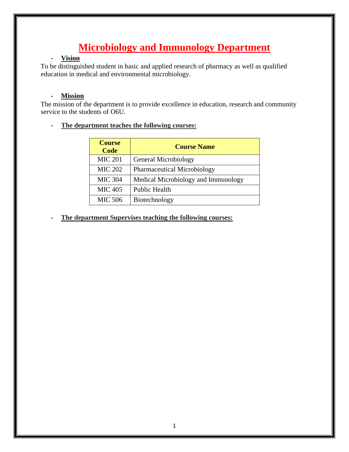# **Microbiology and Immunology Department**

## **- Vision**

To be distinguished student in basic and applied research of pharmacy as well as qualified education in medical and environmental microbiology.

## **- Mission**

The mission of the department is to provide excellence in education, research and community service to the students of O6U.

**- The department teaches the following courses:**

| <b>Course</b><br>Code | <b>Course Name</b>                  |
|-----------------------|-------------------------------------|
| <b>MIC 201</b>        | <b>General Microbiology</b>         |
| <b>MIC 202</b>        | <b>Pharmaceutical Microbiology</b>  |
| <b>MIC 304</b>        | Medical Microbiology and Immunology |
| <b>MIC 405</b>        | <b>Public Health</b>                |
| <b>MIC 506</b>        | Biotechnology                       |

**- The department Supervises teaching the following courses:**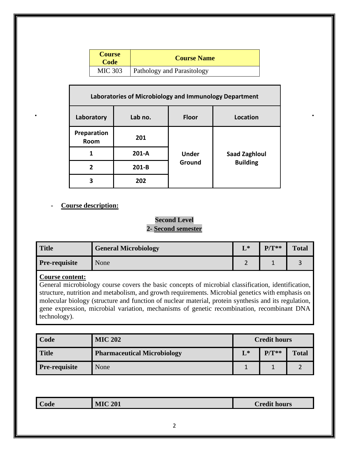| <b>Course</b><br>Code | <b>Course Name</b>                |
|-----------------------|-----------------------------------|
| <b>MIC 303</b>        | <b>Pathology and Parasitology</b> |

| Laboratories of Microbiology and Immunology Department |         |                        |                      |  |
|--------------------------------------------------------|---------|------------------------|----------------------|--|
| Laboratory                                             | Lab no. | <b>Floor</b>           | Location             |  |
| Preparation<br>Room                                    | 201     | <b>Under</b><br>Ground |                      |  |
| 1                                                      | $201-A$ |                        | <b>Saad Zaghloul</b> |  |
| 2                                                      | $201-B$ |                        | <b>Building</b>      |  |
| 3                                                      | 202     |                        |                      |  |

## **- Course description:**

# **Second Level 2- Second semester**

| <b>Title</b>         | <b>General Microbiology</b> | $\blacksquare$ | $P/T**$ | <b>Total</b> |
|----------------------|-----------------------------|----------------|---------|--------------|
| <b>Pre-requisite</b> | None                        |                |         |              |

## **Course content:**

General microbiology course covers the basic concepts of microbial classification, identification, structure, nutrition and metabolism, and growth requirements. Microbial genetics with emphasis on molecular biology (structure and function of nuclear material, protein synthesis and its regulation, gene expression, microbial variation, mechanisms of genetic recombination, recombinant DNA technology).

| Code                 | <b>MIC 202</b>                     | <b>Credit hours</b> |         |              |
|----------------------|------------------------------------|---------------------|---------|--------------|
| <b>Title</b>         | <b>Pharmaceutical Microbiology</b> | $L^*$               | $P/T**$ | <b>Total</b> |
| <b>Pre-requisite</b> | None                               |                     |         |              |

| $\sim$<br>$\angle$ ode | C <sub>201</sub> | 1!11<br>'nod<br>hours |
|------------------------|------------------|-----------------------|
|                        |                  |                       |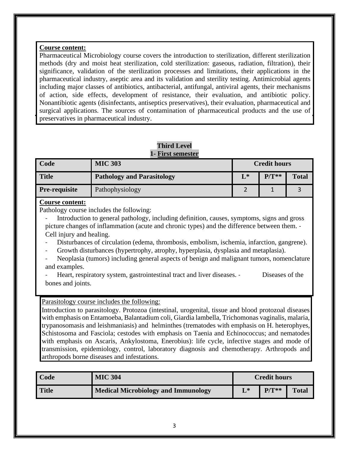## **Course content:**

Pharmaceutical Microbiology course covers the introduction to sterilization, different sterilization methods (dry and moist heat sterilization, cold sterilization: gaseous, radiation, filtration), their significance, validation of the sterilization processes and limitations, their applications in the pharmaceutical industry, aseptic area and its validation and sterility testing. Antimicrobial agents including major classes of antibiotics, antibacterial, antifungal, antiviral agents, their mechanisms of action, side effects, development of resistance, their evaluation, and antibiotic policy. Nonantibiotic agents (disinfectants, antiseptics preservatives), their evaluation, pharmaceutical and surgical applications. The sources of contamination of pharmaceutical products and the use of preservatives in pharmaceutical industry.

#### **Third Level 1- First semester**

| Code                 | <b>MIC 303</b>                    | <b>Credit hours</b> |         |              |
|----------------------|-----------------------------------|---------------------|---------|--------------|
| <b>Title</b>         | <b>Pathology and Parasitology</b> | $L^*$               | $P/T**$ | <b>Total</b> |
| <b>Pre-requisite</b> | Pathophysiology                   |                     |         |              |

## **Course content:**

Pathology course includes the following:

- Introduction to general pathology, including definition, causes, symptoms, signs and gross picture changes of inflammation (acute and chronic types) and the difference between them. - Cell injury and healing.

- Disturbances of circulation (edema, thrombosis, embolism, ischemia, infarction, gangrene).
- Growth disturbances (hypertrophy, atrophy, hyperplasia, dysplasia and metaplasia).
- Neoplasia (tumors) including general aspects of benign and malignant tumors, nomenclature and examples.
- Heart, respiratory system, gastrointestinal tract and liver diseases. Diseases of the bones and joints.

## Parasitology course includes the following:

Introduction to parasitology. Protozoa (intestinal, urogenital, tissue and blood protozoal diseases with emphasis on Entamoeba, Balantadium coli, Giardia lambella, Trichomonas vaginalis, malaria, trypanosomasis and leishmaniasis) and helminthes (trematodes with emphasis on H. heterophyes, Schistosoma and Fasciola; cestodes with emphasis on Taenia and Echinococcus; and nematodes with emphasis on Ascaris, Ankylostoma, Enerobius): life cycle, infective stages and mode of transmission, epidemiology, control, laboratory diagnosis and chemotherapy. Arthropods and arthropods borne diseases and infestations.

| Code         | <b>MIC 304</b>                      | <b>Credit hours</b> |         |              |
|--------------|-------------------------------------|---------------------|---------|--------------|
| <b>Title</b> | Medical Microbiology and Immunology |                     | $P/T**$ | <b>Total</b> |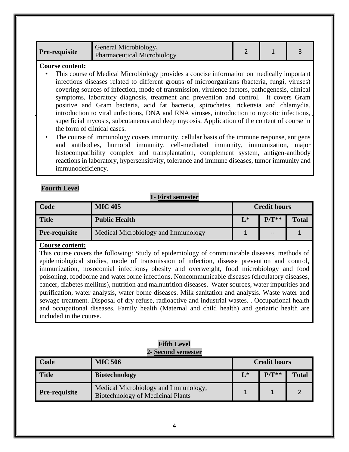#### **Course content:**

- This course of Medical Microbiology provides a concise information on medically important infectious diseases related to different groups of microorganisms (bacteria, fungi, viruses) covering sources of infection, mode of transmission, virulence factors, pathogenesis, clinical symptoms, laboratory diagnosis, treatment and prevention and control. It covers Gram positive and Gram bacteria, acid fat bacteria, spirochetes, rickettsia and chlamydia, introduction to viral unfections, DNA and RNA viruses, introduction to mycotic infections, superficial mycosis, subcutaneous and deep mycosis. Application of the content of course in the form of clinical cases.
- The course of Immunology covers immunity, cellular basis of the immune response, antigens and antibodies, humoral immunity, cell-mediated immunity, immunization, major histocompatibility complex and transplantation, complement system, antigen-antibody reactions in laboratory, hypersensitivity, tolerance and immune diseases, tumor immunity and immunodeficiency.

## **Fourth Level**

## **1- First semester**

| Code                 | <b>MIC 405</b>                      | <b>Credit hours</b> |         |              |
|----------------------|-------------------------------------|---------------------|---------|--------------|
| <b>Title</b>         | <b>Public Health</b>                | $L^*$               | $P/T**$ | <b>Total</b> |
| <b>Pre-requisite</b> | Medical Microbiology and Immunology | J.                  | $- -$   |              |

#### **Course content:**

This course covers the following: Study of epidemiology of communicable diseases, methods of epidemiological studies, mode of transmission of infection, disease prevention and control, immunization, nosocomial infections, obesity and overweight, food microbiology and food poisoning, foodborne and waterborne infections. Noncommunicable diseases (circulatory diseases, cancer, diabetes mellitus), nutrition and malnutrition diseases. Water sources, water impurities and purification, water analysis, water borne diseases. Milk sanitation and analysis. Waste water and sewage treatment. Disposal of dry refuse, radioactive and industrial wastes. . Occupational health and occupational diseases. Family health (Maternal and child health) and geriatric health are included in the course.

| 2- Second semester   |                                                            |                     |         |              |
|----------------------|------------------------------------------------------------|---------------------|---------|--------------|
| Code                 | <b>MIC 506</b>                                             | <b>Credit hours</b> |         |              |
| <b>Title</b>         | <b>Biotechnology</b>                                       | $L^*$               | $P/T**$ | <b>Total</b> |
| <b>Pre-requisite</b> | Medical Microbiology and Immunology,<br>$D_{\text{total}}$ |                     |         |              |

## **Fifth Level 2- Second semester**

Biotechnology of Medicinal Plants 1 1 2